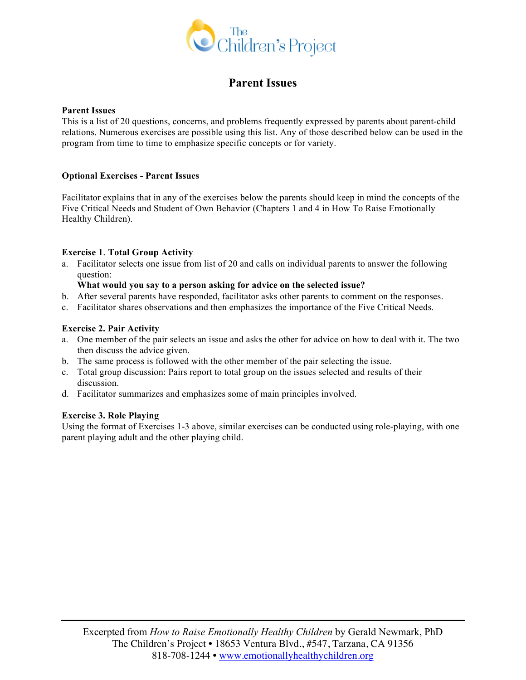

## **Parent Issues**

### **Parent Issues**

This is a list of 20 questions, concerns, and problems frequently expressed by parents about parent-child relations. Numerous exercises are possible using this list. Any of those described below can be used in the program from time to time to emphasize specific concepts or for variety.

### **Optional Exercises - Parent Issues**

Facilitator explains that in any of the exercises below the parents should keep in mind the concepts of the Five Critical Needs and Student of Own Behavior (Chapters 1 and 4 in How To Raise Emotionally Healthy Children).

### **Exercise 1**. **Total Group Activity**

a. Facilitator selects one issue from list of 20 and calls on individual parents to answer the following question:

### **What would you say to a person asking for advice on the selected issue?**

- b. After several parents have responded, facilitator asks other parents to comment on the responses.
- c. Facilitator shares observations and then emphasizes the importance of the Five Critical Needs.

### **Exercise 2. Pair Activity**

- a. One member of the pair selects an issue and asks the other for advice on how to deal with it. The two then discuss the advice given.
- b. The same process is followed with the other member of the pair selecting the issue.
- c. Total group discussion: Pairs report to total group on the issues selected and results of their discussion.
- d. Facilitator summarizes and emphasizes some of main principles involved.

### **Exercise 3. Role Playing**

Using the format of Exercises 1-3 above, similar exercises can be conducted using role-playing, with one parent playing adult and the other playing child.